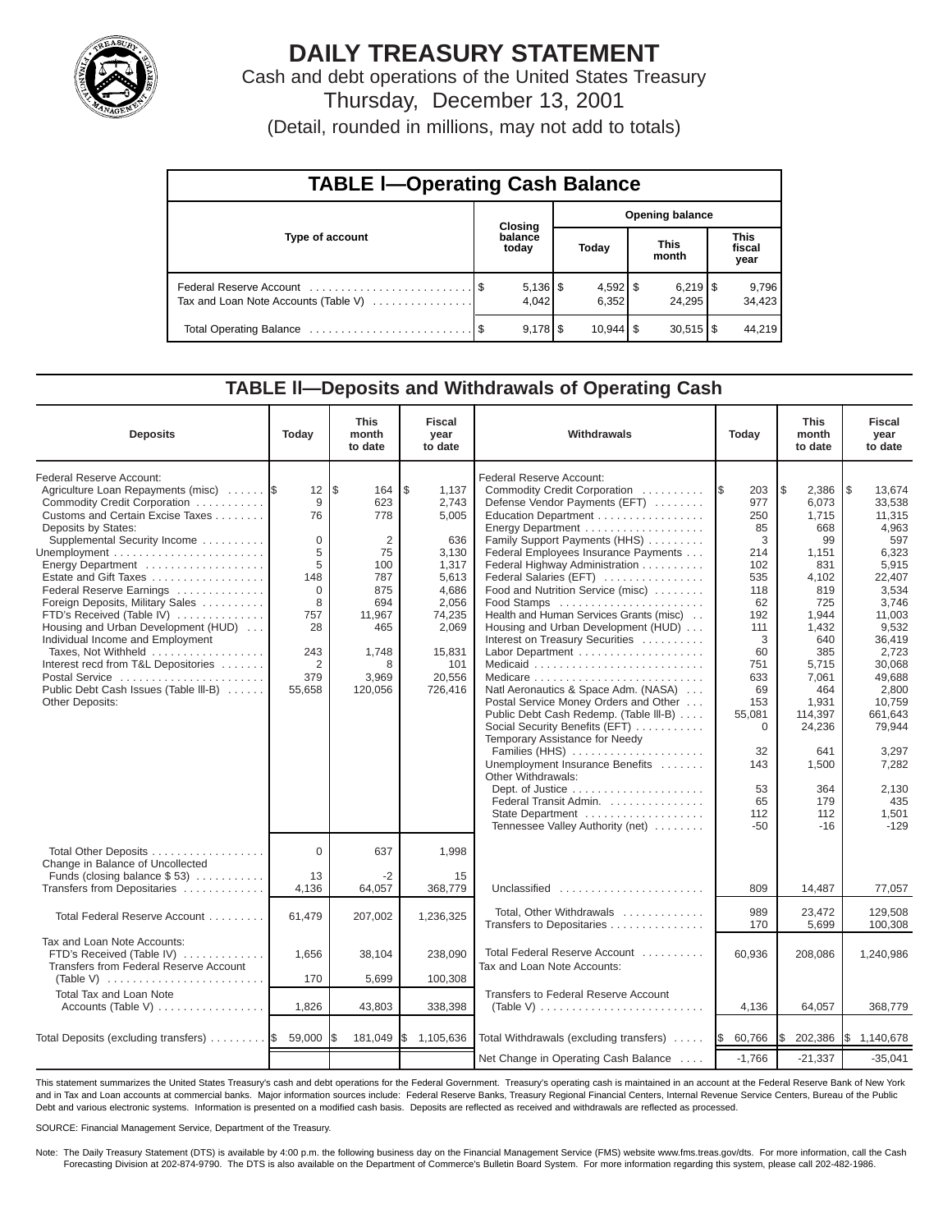

# **DAILY TREASURY STATEMENT**

Cash and debt operations of the United States Treasury Thursday, December 13, 2001

| (Detail, rounded in millions, may not add to totals) |  |  |  |
|------------------------------------------------------|--|--|--|
|------------------------------------------------------|--|--|--|

| <b>TABLE I-Operating Cash Balance</b> |  |                  |                        |                        |                      |                                 |                               |                 |  |
|---------------------------------------|--|------------------|------------------------|------------------------|----------------------|---------------------------------|-------------------------------|-----------------|--|
|                                       |  | Closing          | <b>Opening balance</b> |                        |                      |                                 |                               |                 |  |
| Type of account                       |  | balance<br>today | Today                  |                        | <b>This</b><br>month |                                 | <b>This</b><br>fiscal<br>year |                 |  |
| Tax and Loan Note Accounts (Table V)  |  | 4.042            |                        | $4,592$ \$<br>6,352    |                      | $6,219$ $\frac{8}{3}$<br>24.295 |                               | 9,796<br>34,423 |  |
|                                       |  | $9.178$ S        |                        | $10,944$ $\frac{1}{9}$ |                      | $30,515$ $\frac{1}{3}$          |                               | 44.219          |  |

### **TABLE ll—Deposits and Withdrawals of Operating Cash**

| <b>Deposits</b>                                                                                                                                                                                                                                                                                                                                                                                                                                                                                                                                             | Today                                                                                                    | <b>This</b><br>month<br>to date                                                                                    | <b>Fiscal</b><br>year<br>to date                                                                                                           | Withdrawals                                                                                                                                                                                                                                                                                                                                                                                                                                                                                                                                                                                                                                                                                                                                                                                                                                                                                         | Today                                                                                                                                                                                       | This<br>month<br>to date                                                                                                                                                                                                | <b>Fiscal</b><br>year<br>to date                                                                                                                                                                                                                       |
|-------------------------------------------------------------------------------------------------------------------------------------------------------------------------------------------------------------------------------------------------------------------------------------------------------------------------------------------------------------------------------------------------------------------------------------------------------------------------------------------------------------------------------------------------------------|----------------------------------------------------------------------------------------------------------|--------------------------------------------------------------------------------------------------------------------|--------------------------------------------------------------------------------------------------------------------------------------------|-----------------------------------------------------------------------------------------------------------------------------------------------------------------------------------------------------------------------------------------------------------------------------------------------------------------------------------------------------------------------------------------------------------------------------------------------------------------------------------------------------------------------------------------------------------------------------------------------------------------------------------------------------------------------------------------------------------------------------------------------------------------------------------------------------------------------------------------------------------------------------------------------------|---------------------------------------------------------------------------------------------------------------------------------------------------------------------------------------------|-------------------------------------------------------------------------------------------------------------------------------------------------------------------------------------------------------------------------|--------------------------------------------------------------------------------------------------------------------------------------------------------------------------------------------------------------------------------------------------------|
| Federal Reserve Account:<br>Agriculture Loan Repayments (misc)<br>Commodity Credit Corporation<br>Customs and Certain Excise Taxes<br>Deposits by States:<br>Supplemental Security Income<br>Energy Department<br>Estate and Gift Taxes<br>Federal Reserve Earnings<br>Foreign Deposits, Military Sales<br>FTD's Received (Table IV)<br>Housing and Urban Development (HUD)<br>Individual Income and Employment<br>Taxes, Not Withheld<br>Interest recd from T&L Depositories<br>Postal Service<br>Public Debt Cash Issues (Table III-B)<br>Other Deposits: | 12<br>9<br>76<br>$\mathbf 0$<br>5<br>5<br>148<br>$\Omega$<br>8<br>757<br>28<br>243<br>2<br>379<br>55,658 | l\$<br>164<br>623<br>778<br>2<br>75<br>100<br>787<br>875<br>694<br>11,967<br>465<br>1,748<br>8<br>3,969<br>120,056 | \$<br>1,137<br>2,743<br>5,005<br>636<br>3,130<br>1,317<br>5,613<br>4,686<br>2,056<br>74,235<br>2,069<br>15,831<br>101<br>20,556<br>726,416 | Federal Reserve Account:<br>Commodity Credit Corporation<br>Defense Vendor Payments (EFT)<br>Education Department<br>Energy Department<br>Family Support Payments (HHS)<br>Federal Employees Insurance Payments<br>Federal Highway Administration<br>Federal Salaries (EFT)<br>Food and Nutrition Service (misc)<br>Food Stamps<br>Health and Human Services Grants (misc)<br>Housing and Urban Development (HUD)<br>Interest on Treasury Securities<br>Labor Department<br>Natl Aeronautics & Space Adm. (NASA)<br>Postal Service Money Orders and Other<br>Public Debt Cash Redemp. (Table III-B)<br>Social Security Benefits (EFT)<br>Temporary Assistance for Needy<br>Families (HHS)<br>Unemployment Insurance Benefits<br>Other Withdrawals:<br>Dept. of Justice $\dots\dots\dots\dots\dots\dots\dots\dots$<br>Federal Transit Admin.<br>State Department<br>Tennessee Valley Authority (net) | 203<br>1\$<br>977<br>250<br>85<br>3<br>214<br>102<br>535<br>118<br>62<br>192<br>111<br>3<br>60<br>751<br>633<br>69<br>153<br>55,081<br>$\mathbf 0$<br>32<br>143<br>53<br>65<br>112<br>$-50$ | l\$<br>2,386<br>6,073<br>1,715<br>668<br>99<br>1,151<br>831<br>4,102<br>819<br>725<br>1,944<br>1,432<br>640<br>385<br>5,715<br>7,061<br>464<br>1,931<br>114,397<br>24,236<br>641<br>1,500<br>364<br>179<br>112<br>$-16$ | 1\$<br>13.674<br>33,538<br>11,315<br>4,963<br>597<br>6,323<br>5,915<br>22,407<br>3,534<br>3,746<br>11,003<br>9,532<br>36,419<br>2,723<br>30,068<br>49,688<br>2,800<br>10,759<br>661,643<br>79,944<br>3.297<br>7,282<br>2,130<br>435<br>1,501<br>$-129$ |
| Total Other Deposits<br>Change in Balance of Uncollected<br>Funds (closing balance $$53$ )                                                                                                                                                                                                                                                                                                                                                                                                                                                                  | $\Omega$<br>13                                                                                           | 637<br>$-2$                                                                                                        | 1,998<br>15                                                                                                                                |                                                                                                                                                                                                                                                                                                                                                                                                                                                                                                                                                                                                                                                                                                                                                                                                                                                                                                     |                                                                                                                                                                                             |                                                                                                                                                                                                                         |                                                                                                                                                                                                                                                        |
| Transfers from Depositaries                                                                                                                                                                                                                                                                                                                                                                                                                                                                                                                                 | 4,136                                                                                                    | 64,057                                                                                                             | 368,779                                                                                                                                    | Unclassified                                                                                                                                                                                                                                                                                                                                                                                                                                                                                                                                                                                                                                                                                                                                                                                                                                                                                        | 809                                                                                                                                                                                         | 14,487                                                                                                                                                                                                                  | 77,057                                                                                                                                                                                                                                                 |
| Total Federal Reserve Account                                                                                                                                                                                                                                                                                                                                                                                                                                                                                                                               | 61,479                                                                                                   | 207,002                                                                                                            | 1,236,325                                                                                                                                  | Total, Other Withdrawals<br>Transfers to Depositaries                                                                                                                                                                                                                                                                                                                                                                                                                                                                                                                                                                                                                                                                                                                                                                                                                                               | 989<br>170                                                                                                                                                                                  | 23.472<br>5,699                                                                                                                                                                                                         | 129.508<br>100,308                                                                                                                                                                                                                                     |
| Tax and Loan Note Accounts:<br>FTD's Received (Table IV)<br>Transfers from Federal Reserve Account<br>(Table V) $\ldots \ldots \ldots \ldots \ldots \ldots \ldots \ldots$                                                                                                                                                                                                                                                                                                                                                                                   | 1,656<br>170                                                                                             | 38,104<br>5,699                                                                                                    | 238,090<br>100,308                                                                                                                         | Total Federal Reserve Account<br>Tax and Loan Note Accounts:                                                                                                                                                                                                                                                                                                                                                                                                                                                                                                                                                                                                                                                                                                                                                                                                                                        | 60,936                                                                                                                                                                                      | 208,086                                                                                                                                                                                                                 | 1,240,986                                                                                                                                                                                                                                              |
| <b>Total Tax and Loan Note</b><br>Accounts (Table V)                                                                                                                                                                                                                                                                                                                                                                                                                                                                                                        | 1,826                                                                                                    | 43,803                                                                                                             | 338,398                                                                                                                                    | Transfers to Federal Reserve Account<br>(Table V) $\ldots \ldots \ldots \ldots \ldots \ldots \ldots \ldots$                                                                                                                                                                                                                                                                                                                                                                                                                                                                                                                                                                                                                                                                                                                                                                                         | 4,136                                                                                                                                                                                       | 64,057                                                                                                                                                                                                                  | 368,779                                                                                                                                                                                                                                                |
| Total Deposits (excluding transfers)  \$                                                                                                                                                                                                                                                                                                                                                                                                                                                                                                                    | 59,000                                                                                                   | 181,049                                                                                                            | I\$<br>1,105,636                                                                                                                           | Total Withdrawals (excluding transfers)                                                                                                                                                                                                                                                                                                                                                                                                                                                                                                                                                                                                                                                                                                                                                                                                                                                             | 60,766<br>I\$                                                                                                                                                                               | 202,386                                                                                                                                                                                                                 | 1,140,678<br><b>IS</b>                                                                                                                                                                                                                                 |
|                                                                                                                                                                                                                                                                                                                                                                                                                                                                                                                                                             |                                                                                                          |                                                                                                                    |                                                                                                                                            | Net Change in Operating Cash Balance                                                                                                                                                                                                                                                                                                                                                                                                                                                                                                                                                                                                                                                                                                                                                                                                                                                                | $-1,766$                                                                                                                                                                                    | $-21,337$                                                                                                                                                                                                               | $-35,041$                                                                                                                                                                                                                                              |

This statement summarizes the United States Treasury's cash and debt operations for the Federal Government. Treasury's operating cash is maintained in an account at the Federal Reserve Bank of New York and in Tax and Loan accounts at commercial banks. Major information sources include: Federal Reserve Banks, Treasury Regional Financial Centers, Internal Revenue Service Centers, Bureau of the Public Debt and various electronic systems. Information is presented on a modified cash basis. Deposits are reflected as received and withdrawals are reflected as processed.

SOURCE: Financial Management Service, Department of the Treasury.

Note: The Daily Treasury Statement (DTS) is available by 4:00 p.m. the following business day on the Financial Management Service (FMS) website www.fms.treas.gov/dts. For more information, call the Cash Forecasting Division at 202-874-9790. The DTS is also available on the Department of Commerce's Bulletin Board System. For more information regarding this system, please call 202-482-1986.